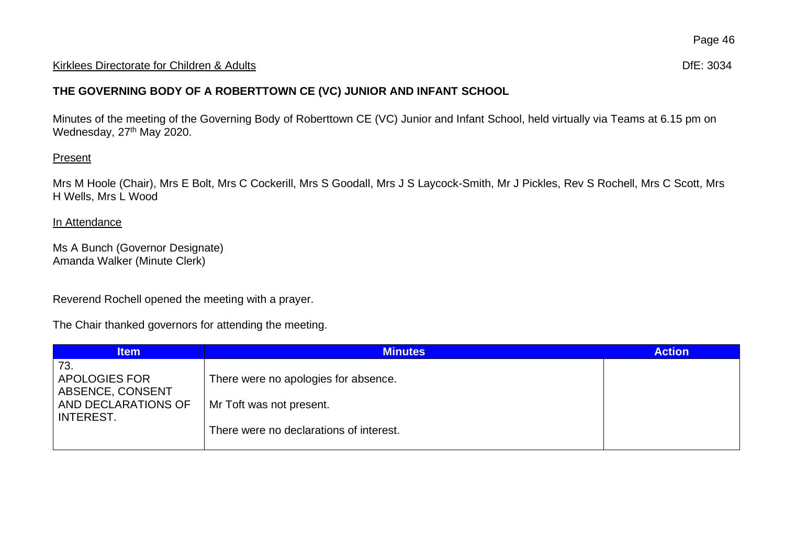## Kirklees Directorate for Children & Adults **Difester and Contact and Contact and Contact and Contact and Contact and Contact and Contact and Difester and Difester and Difester and Difester and Difester and Difester and Dif**

## **THE GOVERNING BODY OF A ROBERTTOWN CE (VC) JUNIOR AND INFANT SCHOOL**

Minutes of the meeting of the Governing Body of Roberttown CE (VC) Junior and Infant School, held virtually via Teams at 6.15 pm on Wednesday, 27<sup>th</sup> May 2020.

## Present

Mrs M Hoole (Chair), Mrs E Bolt, Mrs C Cockerill, Mrs S Goodall, Mrs J S Laycock-Smith, Mr J Pickles, Rev S Rochell, Mrs C Scott, Mrs H Wells, Mrs L Wood

## In Attendance

Ms A Bunch (Governor Designate) Amanda Walker (Minute Clerk)

Reverend Rochell opened the meeting with a prayer.

The Chair thanked governors for attending the meeting.

| <b>Item</b>                                                                  | <b>Minutes</b>                                                   | <b>Action</b> |
|------------------------------------------------------------------------------|------------------------------------------------------------------|---------------|
| 73.<br>APOLOGIES FOR<br>ABSENCE, CONSENT<br>AND DECLARATIONS OF<br>INTEREST. | There were no apologies for absence.<br>Mr Toft was not present. |               |
|                                                                              | There were no declarations of interest.                          |               |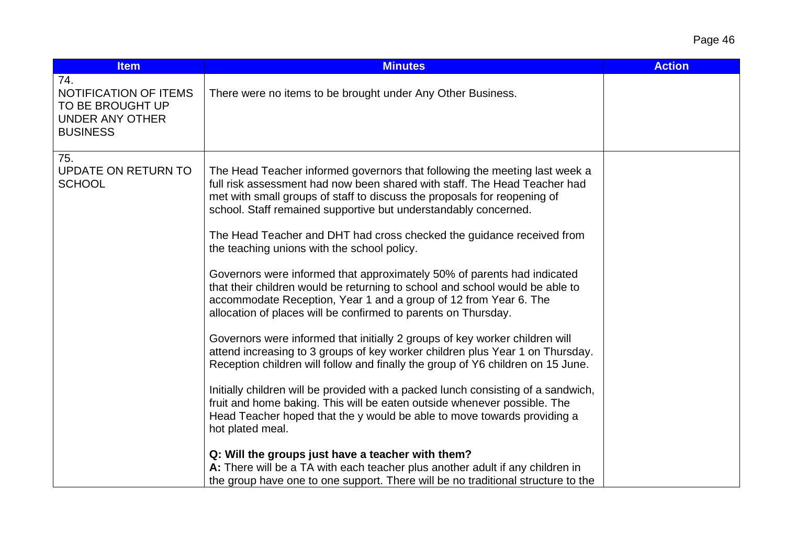| Page 46 |  |
|---------|--|
|---------|--|

| <b>Item</b>                                                                                   | <b>Minutes</b>                                                                                                                                                                                                                                                                                                                                                                                                                                                                                                                                                                                                                                                                                                                                                                                                                                                                                                                                                                                                                                                                                                                                                                                                                                                                                                                                                                           | <b>Action</b> |
|-----------------------------------------------------------------------------------------------|------------------------------------------------------------------------------------------------------------------------------------------------------------------------------------------------------------------------------------------------------------------------------------------------------------------------------------------------------------------------------------------------------------------------------------------------------------------------------------------------------------------------------------------------------------------------------------------------------------------------------------------------------------------------------------------------------------------------------------------------------------------------------------------------------------------------------------------------------------------------------------------------------------------------------------------------------------------------------------------------------------------------------------------------------------------------------------------------------------------------------------------------------------------------------------------------------------------------------------------------------------------------------------------------------------------------------------------------------------------------------------------|---------------|
| 74.<br>NOTIFICATION OF ITEMS<br>TO BE BROUGHT UP<br><b>UNDER ANY OTHER</b><br><b>BUSINESS</b> | There were no items to be brought under Any Other Business.                                                                                                                                                                                                                                                                                                                                                                                                                                                                                                                                                                                                                                                                                                                                                                                                                                                                                                                                                                                                                                                                                                                                                                                                                                                                                                                              |               |
| 75.<br>UPDATE ON RETURN TO<br><b>SCHOOL</b>                                                   | The Head Teacher informed governors that following the meeting last week a<br>full risk assessment had now been shared with staff. The Head Teacher had<br>met with small groups of staff to discuss the proposals for reopening of<br>school. Staff remained supportive but understandably concerned.<br>The Head Teacher and DHT had cross checked the guidance received from<br>the teaching unions with the school policy.<br>Governors were informed that approximately 50% of parents had indicated<br>that their children would be returning to school and school would be able to<br>accommodate Reception, Year 1 and a group of 12 from Year 6. The<br>allocation of places will be confirmed to parents on Thursday.<br>Governors were informed that initially 2 groups of key worker children will<br>attend increasing to 3 groups of key worker children plus Year 1 on Thursday.<br>Reception children will follow and finally the group of Y6 children on 15 June.<br>Initially children will be provided with a packed lunch consisting of a sandwich,<br>fruit and home baking. This will be eaten outside whenever possible. The<br>Head Teacher hoped that the y would be able to move towards providing a<br>hot plated meal.<br>Q: Will the groups just have a teacher with them?<br>A: There will be a TA with each teacher plus another adult if any children in |               |
|                                                                                               | the group have one to one support. There will be no traditional structure to the                                                                                                                                                                                                                                                                                                                                                                                                                                                                                                                                                                                                                                                                                                                                                                                                                                                                                                                                                                                                                                                                                                                                                                                                                                                                                                         |               |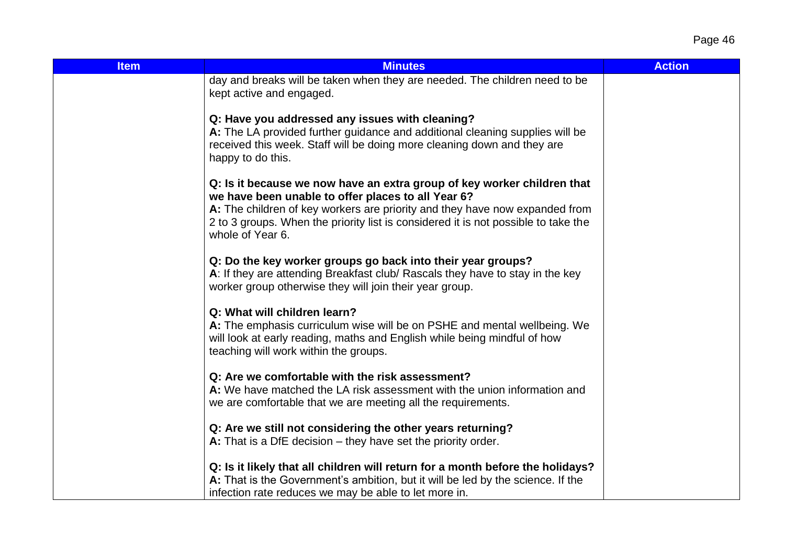Page 46

| <b>Item</b> | <b>Minutes</b>                                                                                                                                                                                                                                                                                                         | <b>Action</b> |
|-------------|------------------------------------------------------------------------------------------------------------------------------------------------------------------------------------------------------------------------------------------------------------------------------------------------------------------------|---------------|
|             | day and breaks will be taken when they are needed. The children need to be<br>kept active and engaged.                                                                                                                                                                                                                 |               |
|             | Q: Have you addressed any issues with cleaning?<br>A: The LA provided further guidance and additional cleaning supplies will be<br>received this week. Staff will be doing more cleaning down and they are<br>happy to do this.                                                                                        |               |
|             | Q: Is it because we now have an extra group of key worker children that<br>we have been unable to offer places to all Year 6?<br>A: The children of key workers are priority and they have now expanded from<br>2 to 3 groups. When the priority list is considered it is not possible to take the<br>whole of Year 6. |               |
|             | Q: Do the key worker groups go back into their year groups?<br>A: If they are attending Breakfast club/ Rascals they have to stay in the key<br>worker group otherwise they will join their year group.                                                                                                                |               |
|             | Q: What will children learn?<br>A: The emphasis curriculum wise will be on PSHE and mental wellbeing. We<br>will look at early reading, maths and English while being mindful of how<br>teaching will work within the groups.                                                                                          |               |
|             | Q: Are we comfortable with the risk assessment?<br>A: We have matched the LA risk assessment with the union information and<br>we are comfortable that we are meeting all the requirements.                                                                                                                            |               |
|             | Q: Are we still not considering the other years returning?<br>A: That is a DfE decision $-$ they have set the priority order.                                                                                                                                                                                          |               |
|             | Q: Is it likely that all children will return for a month before the holidays?<br>A: That is the Government's ambition, but it will be led by the science. If the<br>infection rate reduces we may be able to let more in.                                                                                             |               |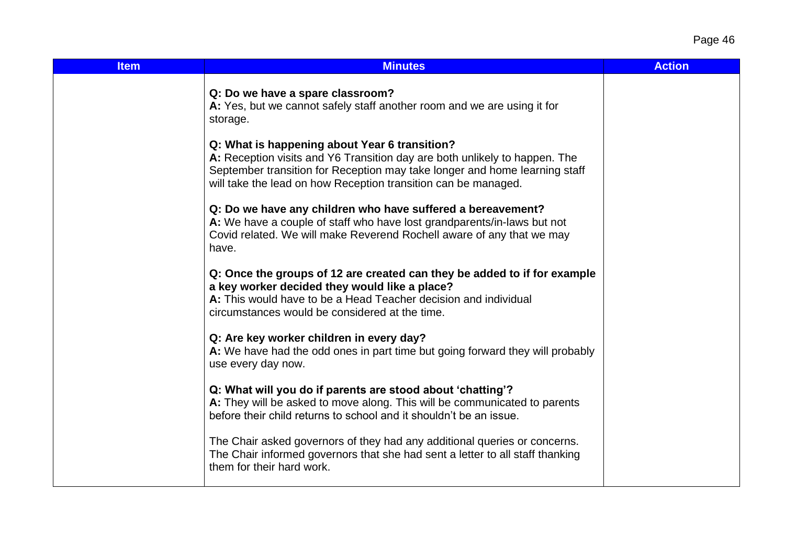Page 46

| <b>Item</b> | <b>Minutes</b>                                                                                                                                                                                                                                                              | <b>Action</b> |
|-------------|-----------------------------------------------------------------------------------------------------------------------------------------------------------------------------------------------------------------------------------------------------------------------------|---------------|
|             | Q: Do we have a spare classroom?<br>A: Yes, but we cannot safely staff another room and we are using it for<br>storage.                                                                                                                                                     |               |
|             | Q: What is happening about Year 6 transition?<br>A: Reception visits and Y6 Transition day are both unlikely to happen. The<br>September transition for Reception may take longer and home learning staff<br>will take the lead on how Reception transition can be managed. |               |
|             | Q: Do we have any children who have suffered a bereavement?<br>A: We have a couple of staff who have lost grandparents/in-laws but not<br>Covid related. We will make Reverend Rochell aware of any that we may<br>have.                                                    |               |
|             | Q: Once the groups of 12 are created can they be added to if for example<br>a key worker decided they would like a place?<br>A: This would have to be a Head Teacher decision and individual<br>circumstances would be considered at the time.                              |               |
|             | Q: Are key worker children in every day?<br>A: We have had the odd ones in part time but going forward they will probably<br>use every day now.                                                                                                                             |               |
|             | Q: What will you do if parents are stood about 'chatting'?<br>A: They will be asked to move along. This will be communicated to parents<br>before their child returns to school and it shouldn't be an issue.                                                               |               |
|             | The Chair asked governors of they had any additional queries or concerns.<br>The Chair informed governors that she had sent a letter to all staff thanking<br>them for their hard work.                                                                                     |               |